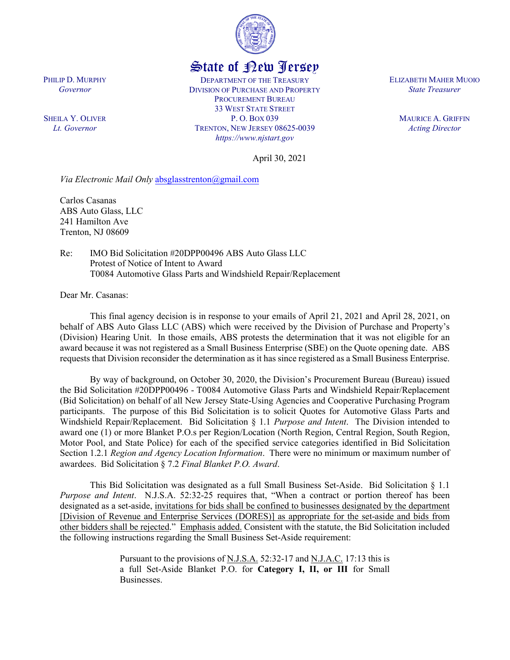

## State of New Jersey

DEPARTMENT OF THE TREASURY DIVISION OF PURCHASE AND PROPERTY PROCUREMENT BUREAU 33 WEST STATE STREET P. O. BOX 039 TRENTON, NEW JERSEY 08625-0039 *https://www.njstart.gov*

ELIZABETH MAHER MUOIO *State Treasurer*

> MAURICE A. GRIFFIN *Acting Director*

April 30, 2021

*Via Electronic Mail Only* [absglasstrenton@gmail.com](mailto:absglasstrenton@gmail.com)

Carlos Casanas ABS Auto Glass, LLC 241 Hamilton Ave Trenton, NJ 08609

Re: IMO Bid Solicitation #20DPP00496 ABS Auto Glass LLC Protest of Notice of Intent to Award T0084 Automotive Glass Parts and Windshield Repair/Replacement

Dear Mr. Casanas:

This final agency decision is in response to your emails of April 21, 2021 and April 28, 2021, on behalf of ABS Auto Glass LLC (ABS) which were received by the Division of Purchase and Property's (Division) Hearing Unit. In those emails, ABS protests the determination that it was not eligible for an award because it was not registered as a Small Business Enterprise (SBE) on the Quote opening date. ABS requests that Division reconsider the determination as it has since registered as a Small Business Enterprise.

By way of background, on October 30, 2020, the Division's Procurement Bureau (Bureau) issued the Bid Solicitation #20DPP00496 - T0084 Automotive Glass Parts and Windshield Repair/Replacement (Bid Solicitation) on behalf of all New Jersey State-Using Agencies and Cooperative Purchasing Program participants. The purpose of this Bid Solicitation is to solicit Quotes for Automotive Glass Parts and Windshield Repair/Replacement. Bid Solicitation § 1.1 *Purpose and Intent*. The Division intended to award one (1) or more Blanket P.O.s per Region/Location (North Region, Central Region, South Region, Motor Pool, and State Police) for each of the specified service categories identified in Bid Solicitation Section 1.2.1 *Region and Agency Location Information*. There were no minimum or maximum number of awardees. Bid Solicitation § 7.2 *Final Blanket P.O. Award*.

This Bid Solicitation was designated as a full Small Business Set-Aside. Bid Solicitation § 1.1 *Purpose and Intent*. N.J.S.A. 52:32-25 requires that, "When a contract or portion thereof has been designated as a set-aside, invitations for bids shall be confined to businesses designated by the department [Division of Revenue and Enterprise Services (DORES)] as appropriate for the set-aside and bids from other bidders shall be rejected." Emphasis added. Consistent with the statute, the Bid Solicitation included the following instructions regarding the Small Business Set-Aside requirement:

> Pursuant to the provisions of <u>N.J.S.A.</u> 52:32-17 and <u>N.J.A.C.</u> 17:13 this is a full Set-Aside Blanket P.O. for **Category I, II, or III** for Small Businesses.

PHILIP D. MURPHY *Governor*

SHEILA Y. OLIVER *Lt. Governor*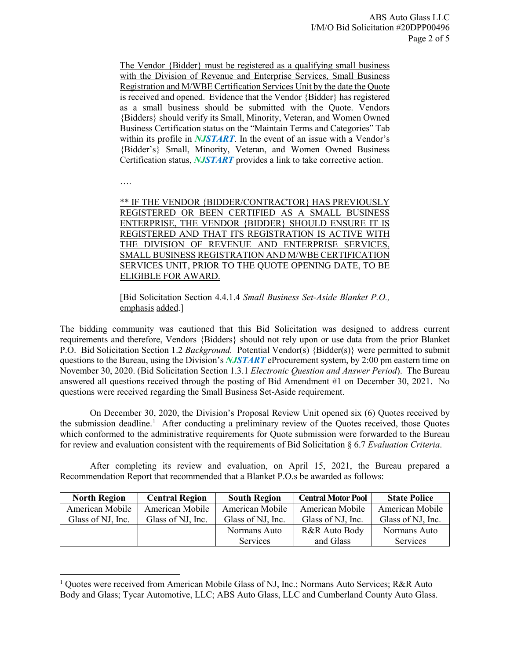The Vendor {Bidder} must be registered as a qualifying small business with the Division of Revenue and Enterprise Services, Small Business Registration and M/WBE Certification Services Unit by the date the Quote is received and opened. Evidence that the Vendor {Bidder} has registered as a small business should be submitted with the Quote. Vendors {Bidders} should verify its Small, Minority, Veteran, and Women Owned Business Certification status on the "Maintain Terms and Categories" Tab within its profile in *NJSTART*. In the event of an issue with a Vendor's {Bidder's} Small, Minority, Veteran, and Women Owned Business Certification status, *NJSTART* provides a link to take corrective action.

….

l

\*\* IF THE VENDOR {BIDDER/CONTRACTOR} HAS PREVIOUSLY REGISTERED OR BEEN CERTIFIED AS A SMALL BUSINESS ENTERPRISE, THE VENDOR {BIDDER} SHOULD ENSURE IT IS REGISTERED AND THAT ITS REGISTRATION IS ACTIVE WITH THE DIVISION OF REVENUE AND ENTERPRISE SERVICES, SMALL BUSINESS REGISTRATION AND M/WBE CERTIFICATION SERVICES UNIT, PRIOR TO THE QUOTE OPENING DATE, TO BE ELIGIBLE FOR AWARD.

[Bid Solicitation Section 4.4.1.4 *Small Business Set-Aside Blanket P.O.,*  emphasis added.]

The bidding community was cautioned that this Bid Solicitation was designed to address current requirements and therefore, Vendors {Bidders} should not rely upon or use data from the prior Blanket P.O. Bid Solicitation Section 1.2 *Background.* Potential Vendor(s) {Bidder(s)} were permitted to submit questions to the Bureau, using the Division's *NJSTART* eProcurement system, by 2:00 pm eastern time on November 30, 2020. (Bid Solicitation Section 1.3.1 *Electronic Question and Answer Period*). The Bureau answered all questions received through the posting of Bid Amendment #1 on December 30, 2021. No questions were received regarding the Small Business Set-Aside requirement.

On December 30, 2020, the Division's Proposal Review Unit opened six (6) Quotes received by the submission deadline.<sup>[1](#page-1-0)</sup> After conducting a preliminary review of the Quotes received, those Quotes which conformed to the administrative requirements for Quote submission were forwarded to the Bureau for review and evaluation consistent with the requirements of Bid Solicitation § 6.7 *Evaluation Criteria*.

After completing its review and evaluation, on April 15, 2021, the Bureau prepared a Recommendation Report that recommended that a Blanket P.O.s be awarded as follows:

| <b>North Region</b> | <b>Central Region</b> | <b>South Region</b> | <b>Central Motor Pool</b> | <b>State Police</b> |
|---------------------|-----------------------|---------------------|---------------------------|---------------------|
| American Mobile     | American Mobile       | American Mobile     | American Mobile           | American Mobile     |
| Glass of NJ, Inc.   | Glass of NJ, Inc.     | Glass of NJ, Inc.   | Glass of NJ, Inc.         | Glass of NJ, Inc.   |
|                     |                       | Normans Auto        | R&R Auto Body             | Normans Auto        |
|                     |                       | <b>Services</b>     | and Glass                 | Services            |

<span id="page-1-0"></span><sup>&</sup>lt;sup>1</sup> Quotes were received from American Mobile Glass of NJ, Inc.; Normans Auto Services; R&R Auto Body and Glass; Tycar Automotive, LLC; ABS Auto Glass, LLC and Cumberland County Auto Glass.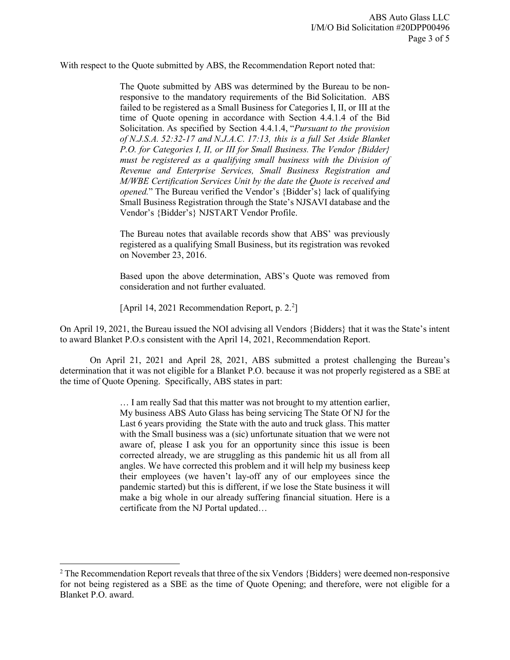With respect to the Quote submitted by ABS, the Recommendation Report noted that:

The Quote submitted by ABS was determined by the Bureau to be nonresponsive to the mandatory requirements of the Bid Solicitation. ABS failed to be registered as a Small Business for Categories I, II, or III at the time of Quote opening in accordance with Section 4.4.1.4 of the Bid Solicitation. As specified by Section 4.4.1.4, "*Pursuant to the provision of N.J.S.A. 52:32-17 and N.J.A.C. 17:13, this is a full Set Aside Blanket P.O. for Categories I, II, or III for Small Business. The Vendor {Bidder} must be registered as a qualifying small business with the Division of Revenue and Enterprise Services, Small Business Registration and M/WBE Certification Services Unit by the date the Quote is received and opened.*" The Bureau verified the Vendor's {Bidder's} lack of qualifying Small Business Registration through the State's NJSAVI database and the Vendor's {Bidder's} NJSTART Vendor Profile.

The Bureau notes that available records show that ABS' was previously registered as a qualifying Small Business, but its registration was revoked on November 23, 2016.

Based upon the above determination, ABS's Quote was removed from consideration and not further evaluated.

[April 14, 2021 Recommendation Report, p. 2.<sup>2</sup>]

 $\overline{\phantom{a}}$ 

On April 19, 2021, the Bureau issued the NOI advising all Vendors {Bidders} that it was the State's intent to award Blanket P.O.s consistent with the April 14, 2021, Recommendation Report.

On April 21, 2021 and April 28, 2021, ABS submitted a protest challenging the Bureau's determination that it was not eligible for a Blanket P.O. because it was not properly registered as a SBE at the time of Quote Opening. Specifically, ABS states in part:

> … I am really Sad that this matter was not brought to my attention earlier, My business ABS Auto Glass has being servicing The State Of NJ for the Last 6 years providing the State with the auto and truck glass. This matter with the Small business was a (sic) unfortunate situation that we were not aware of, please I ask you for an opportunity since this issue is been corrected already, we are struggling as this pandemic hit us all from all angles. We have corrected this problem and it will help my business keep their employees (we haven't lay-off any of our employees since the pandemic started) but this is different, if we lose the State business it will make a big whole in our already suffering financial situation. Here is a certificate from the NJ Portal updated…

<span id="page-2-0"></span><sup>&</sup>lt;sup>2</sup> The Recommendation Report reveals that three of the six Vendors {Bidders} were deemed non-responsive for not being registered as a SBE as the time of Quote Opening; and therefore, were not eligible for a Blanket P.O. award.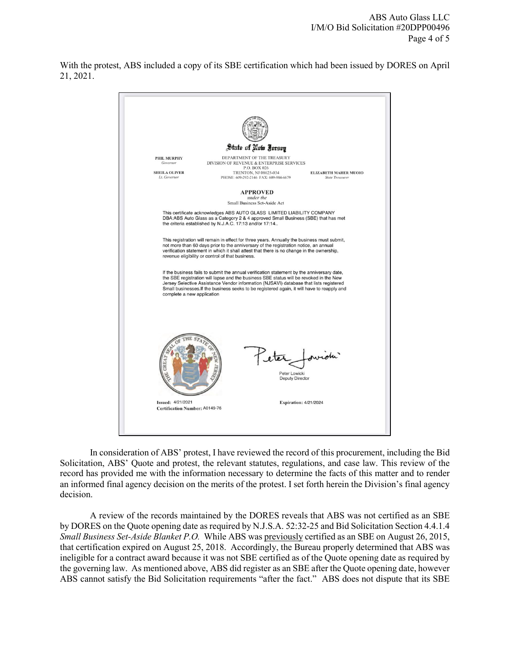With the protest, ABS included a copy of its SBE certification which had been issued by DORES on April 21, 2021.



In consideration of ABS' protest, I have reviewed the record of this procurement, including the Bid Solicitation, ABS' Quote and protest, the relevant statutes, regulations, and case law. This review of the record has provided me with the information necessary to determine the facts of this matter and to render an informed final agency decision on the merits of the protest. I set forth herein the Division's final agency decision.

A review of the records maintained by the DORES reveals that ABS was not certified as an SBE by DORES on the Quote opening date as required by N.J.S.A. 52:32-25 and Bid Solicitation Section 4.4.1.4 *Small Business Set-Aside Blanket P.O.* While ABS was previously certified as an SBE on August 26, 2015, that certification expired on August 25, 2018. Accordingly, the Bureau properly determined that ABS was ineligible for a contract award because it was not SBE certified as of the Quote opening date as required by the governing law. As mentioned above, ABS did register as an SBE after the Quote opening date, however ABS cannot satisfy the Bid Solicitation requirements "after the fact." ABS does not dispute that its SBE